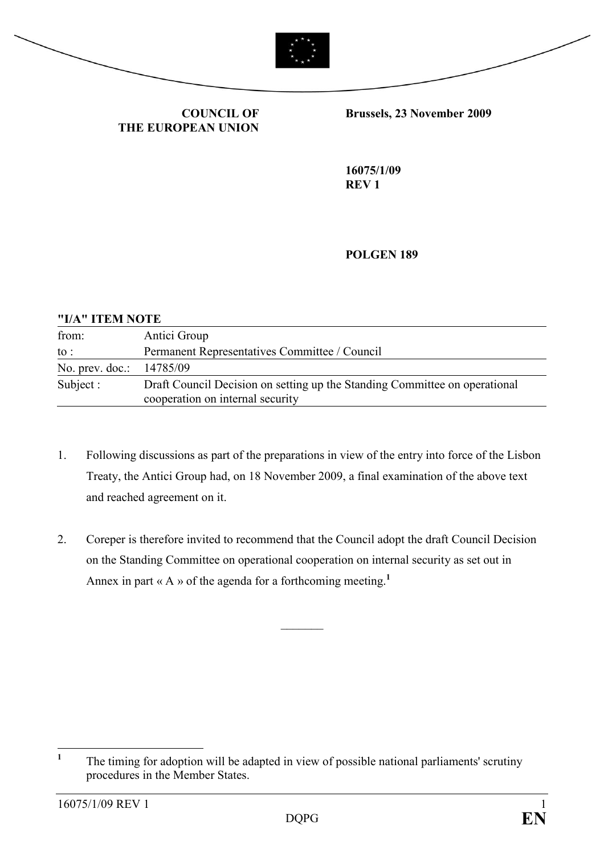



COUNCIL OF THE EUROPEAN UNION Brussels, 23 November 2009

16075/1/09 REV 1

POLGEN 189

#### "I/A" ITEM NOTE

| from:           | Antici Group                                                                                                   |
|-----------------|----------------------------------------------------------------------------------------------------------------|
| to :            | Permanent Representatives Committee / Council                                                                  |
| No. prev. doc.: | 14785/09                                                                                                       |
| Subject :       | Draft Council Decision on setting up the Standing Committee on operational<br>cooperation on internal security |

- 1. Following discussions as part of the preparations in view of the entry into force of the Lisbon Treaty, the Antici Group had, on 18 November 2009, a final examination of the above text and reached agreement on it.
- 2. Coreper is therefore invited to recommend that the Council adopt the draft Council Decision on the Standing Committee on operational cooperation on internal security as set out in Annex in part « A » of the agenda for a forthcoming meeting.<sup>1</sup>

 $\frac{1}{2}$ 

 $\frac{1}{1}$  The timing for adoption will be adapted in view of possible national parliaments' scrutiny procedures in the Member States.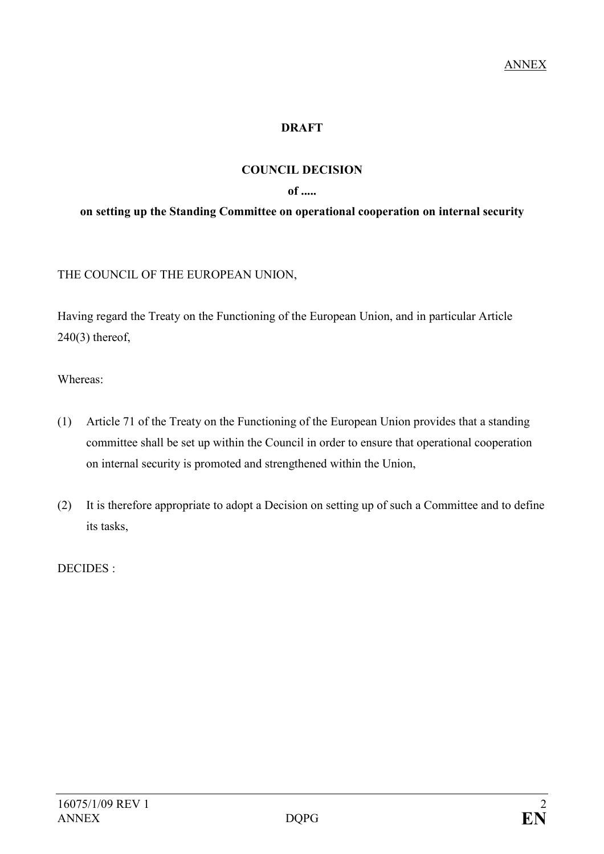## DRAFT

### COUNCIL DECISION

#### of .....

#### on setting up the Standing Committee on operational cooperation on internal security

THE COUNCIL OF THE EUROPEAN UNION,

Having regard the Treaty on the Functioning of the European Union, and in particular Article 240(3) thereof,

Whereas:

- (1) Article 71 of the Treaty on the Functioning of the European Union provides that a standing committee shall be set up within the Council in order to ensure that operational cooperation on internal security is promoted and strengthened within the Union,
- (2) It is therefore appropriate to adopt a Decision on setting up of such a Committee and to define its tasks,

DECIDES :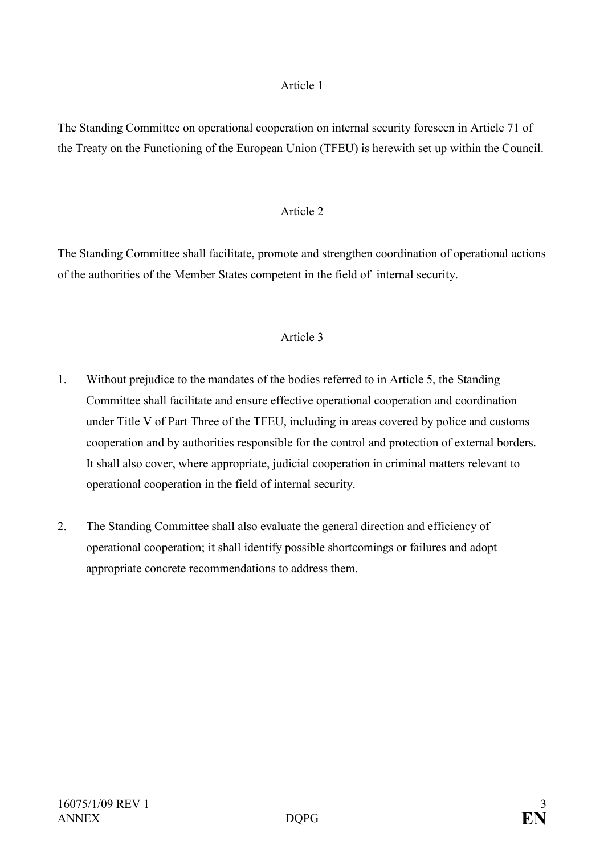#### Article 1

The Standing Committee on operational cooperation on internal security foreseen in Article 71 of the Treaty on the Functioning of the European Union (TFEU) is herewith set up within the Council.

### Article 2

The Standing Committee shall facilitate, promote and strengthen coordination of operational actions of the authorities of the Member States competent in the field of internal security.

### Article 3

- 1. Without prejudice to the mandates of the bodies referred to in Article 5, the Standing Committee shall facilitate and ensure effective operational cooperation and coordination under Title V of Part Three of the TFEU, including in areas covered by police and customs cooperation and by authorities responsible for the control and protection of external borders. It shall also cover, where appropriate, judicial cooperation in criminal matters relevant to operational cooperation in the field of internal security.
- 2. The Standing Committee shall also evaluate the general direction and efficiency of operational cooperation; it shall identify possible shortcomings or failures and adopt appropriate concrete recommendations to address them.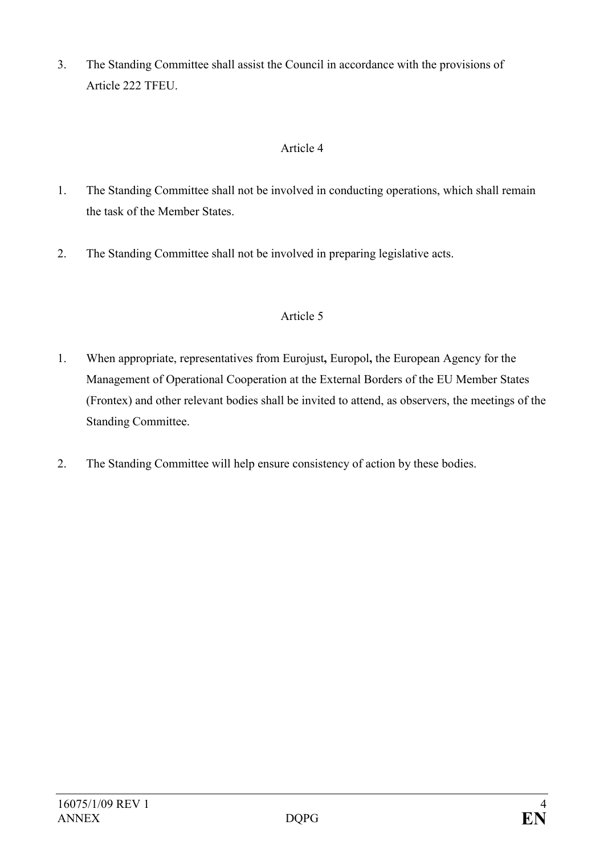3. The Standing Committee shall assist the Council in accordance with the provisions of Article 222 TFEU.

# Article 4

- 1. The Standing Committee shall not be involved in conducting operations, which shall remain the task of the Member States.
- 2. The Standing Committee shall not be involved in preparing legislative acts.

# Article 5

- 1. When appropriate, representatives from Eurojust, Europol, the European Agency for the Management of Operational Cooperation at the External Borders of the EU Member States (Frontex) and other relevant bodies shall be invited to attend, as observers, the meetings of the Standing Committee.
- 2. The Standing Committee will help ensure consistency of action by these bodies.